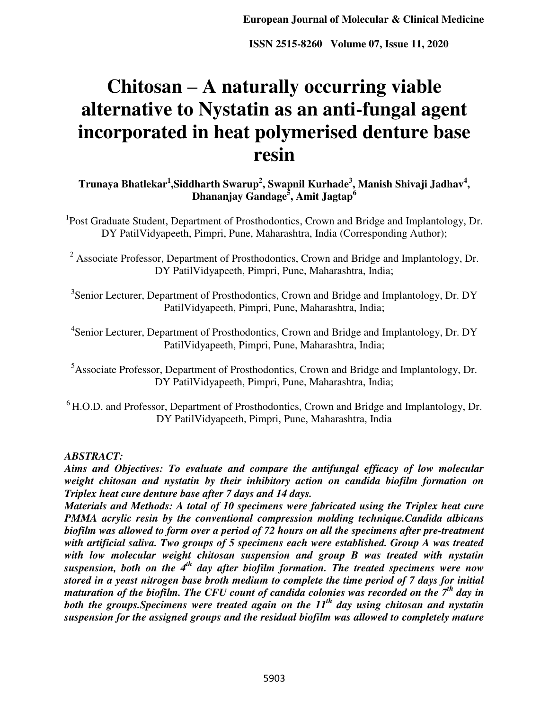# **Chitosan – A naturally occurring viable alternative to Nystatin as an anti-fungal agent incorporated in heat polymerised denture base resin**

**Trunaya Bhatlekar<sup>1</sup> ,Siddharth Swarup<sup>2</sup> , Swapnil Kurhade<sup>3</sup> , Manish Shivaji Jadhav<sup>4</sup> , Dhananjay Gandage<sup>5</sup> , Amit Jagtap<sup>6</sup>**

<sup>1</sup>Post Graduate Student, Department of Prosthodontics, Crown and Bridge and Implantology, Dr. DY PatilVidyapeeth, Pimpri, Pune, Maharashtra, India (Corresponding Author);

<sup>2</sup> Associate Professor, Department of Prosthodontics, Crown and Bridge and Implantology, Dr. DY PatilVidyapeeth, Pimpri, Pune, Maharashtra, India;

<sup>3</sup>Senior Lecturer, Department of Prosthodontics, Crown and Bridge and Implantology, Dr. DY PatilVidyapeeth, Pimpri, Pune, Maharashtra, India;

<sup>4</sup>Senior Lecturer, Department of Prosthodontics, Crown and Bridge and Implantology, Dr. DY PatilVidyapeeth, Pimpri, Pune, Maharashtra, India;

<sup>5</sup>Associate Professor, Department of Prosthodontics, Crown and Bridge and Implantology, Dr. DY PatilVidyapeeth, Pimpri, Pune, Maharashtra, India;

 $6$  H.O.D. and Professor, Department of Prosthodontics, Crown and Bridge and Implantology, Dr. DY PatilVidyapeeth, Pimpri, Pune, Maharashtra, India

#### *ABSTRACT:*

*Aims and Objectives: To evaluate and compare the antifungal efficacy of low molecular weight chitosan and nystatin by their inhibitory action on candida biofilm formation on Triplex heat cure denture base after 7 days and 14 days.* 

*Materials and Methods: A total of 10 specimens were fabricated using the Triplex heat cure PMMA acrylic resin by the conventional compression molding technique.Candida albicans biofilm was allowed to form over a period of 72 hours on all the specimens after pre-treatment with artificial saliva. Two groups of 5 specimens each were established. Group A was treated with low molecular weight chitosan suspension and group B was treated with nystatin suspension, both on the 4th day after biofilm formation. The treated specimens were now stored in a yeast nitrogen base broth medium to complete the time period of 7 days for initial maturation of the biofilm. The CFU count of candida colonies was recorded on the 7th day in both the groups.Specimens were treated again on the 11th day using chitosan and nystatin suspension for the assigned groups and the residual biofilm was allowed to completely mature*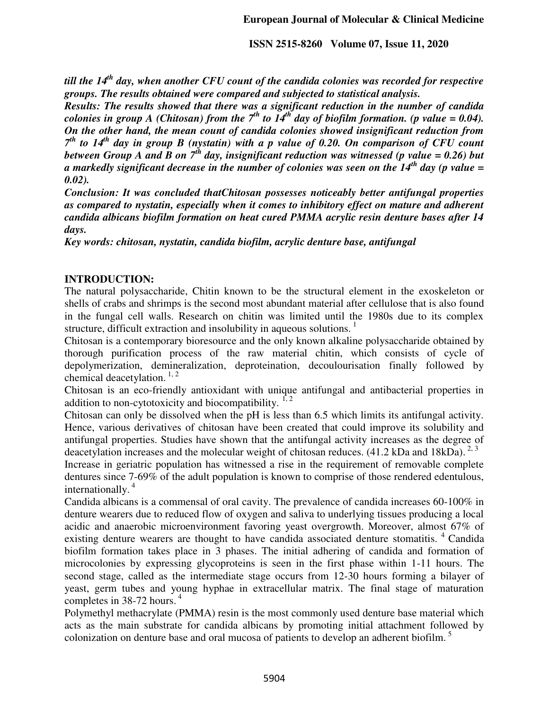*till the 14th day, when another CFU count of the candida colonies was recorded for respective groups. The results obtained were compared and subjected to statistical analysis.* 

*Results: The results showed that there was a significant reduction in the number of candida colonies in group A (Chitosan) from the*  $7^{th}$  to  $14^{th}$  day of biofilm formation. (p value = 0.04). *On the other hand, the mean count of candida colonies showed insignificant reduction from 7 th to 14th day in group B (nystatin) with a p value of 0.20. On comparison of CFU count between Group A and B on*  $7<sup>th</sup>$  day, insignificant reduction was witnessed (p value = 0.26) but *a markedly significant decrease in the number of colonies was seen on the 14th day (p value = 0.02).* 

*Conclusion: It was concluded thatChitosan possesses noticeably better antifungal properties as compared to nystatin, especially when it comes to inhibitory effect on mature and adherent candida albicans biofilm formation on heat cured PMMA acrylic resin denture bases after 14 days.* 

*Key words: chitosan, nystatin, candida biofilm, acrylic denture base, antifungal* 

#### **INTRODUCTION:**

The natural polysaccharide, Chitin known to be the structural element in the exoskeleton or shells of crabs and shrimps is the second most abundant material after cellulose that is also found in the fungal cell walls. Research on chitin was limited until the 1980s due to its complex structure, difficult extraction and insolubility in aqueous solutions.  $\frac{1}{1}$ 

Chitosan is a contemporary bioresource and the only known alkaline polysaccharide obtained by thorough purification process of the raw material chitin, which consists of cycle of depolymerization, demineralization, deproteination, decoulourisation finally followed by chemical deacetylation.  $1, 2$ 

Chitosan is an eco-friendly antioxidant with unique antifungal and antibacterial properties in addition to non-cytotoxicity and biocompatibility.  $1, 2$ 

Chitosan can only be dissolved when the pH is less than 6.5 which limits its antifungal activity. Hence, various derivatives of chitosan have been created that could improve its solubility and antifungal properties. Studies have shown that the antifungal activity increases as the degree of deacetylation increases and the molecular weight of chitosan reduces. (41.2 kDa and 18kDa).  $^{2,3}$ 

Increase in geriatric population has witnessed a rise in the requirement of removable complete dentures since 7-69% of the adult population is known to comprise of those rendered edentulous, internationally. $4$ 

Candida albicans is a commensal of oral cavity. The prevalence of candida increases 60-100% in denture wearers due to reduced flow of oxygen and saliva to underlying tissues producing a local acidic and anaerobic microenvironment favoring yeast overgrowth. Moreover, almost 67% of existing denture wearers are thought to have candida associated denture stomatitis.  $4 \text{ C}$ andida biofilm formation takes place in 3 phases. The initial adhering of candida and formation of microcolonies by expressing glycoproteins is seen in the first phase within 1-11 hours. The second stage, called as the intermediate stage occurs from 12-30 hours forming a bilayer of yeast, germ tubes and young hyphae in extracellular matrix. The final stage of maturation completes in 38-72 hours.<sup>4</sup>

Polymethyl methacrylate (PMMA) resin is the most commonly used denture base material which acts as the main substrate for candida albicans by promoting initial attachment followed by colonization on denture base and oral mucosa of patients to develop an adherent biofilm.<sup>5</sup>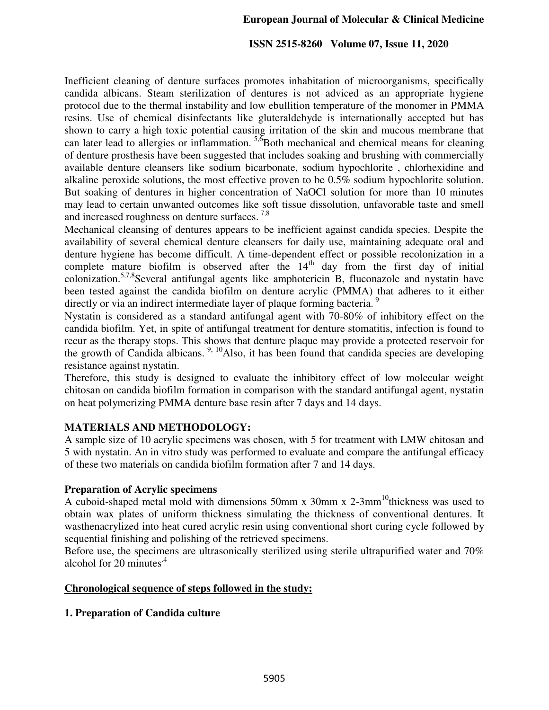Inefficient cleaning of denture surfaces promotes inhabitation of microorganisms, specifically candida albicans. Steam sterilization of dentures is not adviced as an appropriate hygiene protocol due to the thermal instability and low ebullition temperature of the monomer in PMMA resins. Use of chemical disinfectants like gluteraldehyde is internationally accepted but has shown to carry a high toxic potential causing irritation of the skin and mucous membrane that can later lead to allergies or inflammation.  $5.6$ Both mechanical and chemical means for cleaning of denture prosthesis have been suggested that includes soaking and brushing with commercially available denture cleansers like sodium bicarbonate, sodium hypochlorite , chlorhexidine and alkaline peroxide solutions, the most effective proven to be 0.5% sodium hypochlorite solution. But soaking of dentures in higher concentration of NaOCl solution for more than 10 minutes may lead to certain unwanted outcomes like soft tissue dissolution, unfavorable taste and smell and increased roughness on denture surfaces.<sup>7,8</sup>

Mechanical cleansing of dentures appears to be inefficient against candida species. Despite the availability of several chemical denture cleansers for daily use, maintaining adequate oral and denture hygiene has become difficult. A time-dependent effect or possible recolonization in a complete mature biofilm is observed after the  $14<sup>th</sup>$  day from the first day of initial colonization.<sup>5,7,8</sup>Several antifungal agents like amphotericin B, fluconazole and nystatin have been tested against the candida biofilm on denture acrylic (PMMA) that adheres to it either directly or via an indirect intermediate layer of plaque forming bacteria.<sup>9</sup>

Nystatin is considered as a standard antifungal agent with 70-80% of inhibitory effect on the candida biofilm. Yet, in spite of antifungal treatment for denture stomatitis, infection is found to recur as the therapy stops. This shows that denture plaque may provide a protected reservoir for the growth of Candida albicans.  $9, 10$ Also, it has been found that candida species are developing resistance against nystatin.

Therefore, this study is designed to evaluate the inhibitory effect of low molecular weight chitosan on candida biofilm formation in comparison with the standard antifungal agent, nystatin on heat polymerizing PMMA denture base resin after 7 days and 14 days.

#### **MATERIALS AND METHODOLOGY:**

A sample size of 10 acrylic specimens was chosen, with 5 for treatment with LMW chitosan and 5 with nystatin. An in vitro study was performed to evaluate and compare the antifungal efficacy of these two materials on candida biofilm formation after 7 and 14 days.

#### **Preparation of Acrylic specimens**

A cuboid-shaped metal mold with dimensions 50mm x 30mm x 2-3mm<sup>10</sup>thickness was used to obtain wax plates of uniform thickness simulating the thickness of conventional dentures. It wasthenacrylized into heat cured acrylic resin using conventional short curing cycle followed by sequential finishing and polishing of the retrieved specimens.

Before use, the specimens are ultrasonically sterilized using sterile ultrapurified water and 70% alcohol for 20 minutes<sup>.4</sup>

#### **Chronological sequence of steps followed in the study:**

#### **1. Preparation of Candida culture**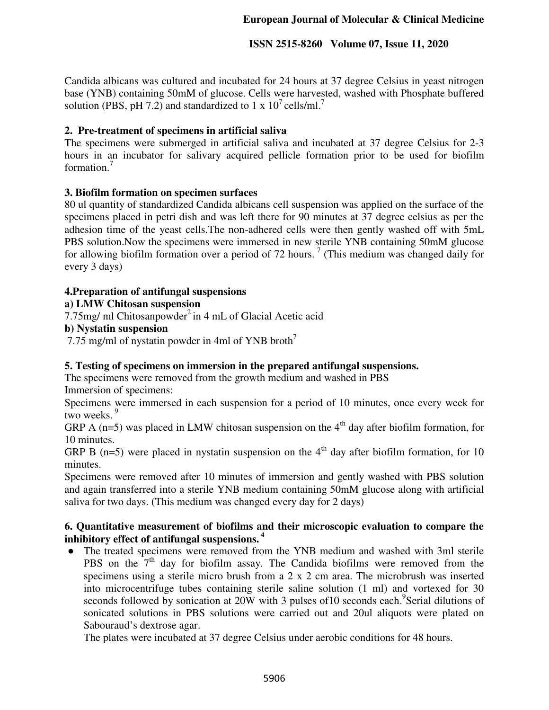Candida albicans was cultured and incubated for 24 hours at 37 degree Celsius in yeast nitrogen base (YNB) containing 50mM of glucose. Cells were harvested, washed with Phosphate buffered solution (PBS, pH 7.2) and standardized to 1 x  $10^7$  cells/ml.<sup>7</sup>

#### **2. Pre-treatment of specimens in artificial saliva**

The specimens were submerged in artificial saliva and incubated at 37 degree Celsius for 2-3 hours in an incubator for salivary acquired pellicle formation prior to be used for biofilm formation<sup>7</sup>

#### **3. Biofilm formation on specimen surfaces**

80 ul quantity of standardized Candida albicans cell suspension was applied on the surface of the specimens placed in petri dish and was left there for 90 minutes at 37 degree celsius as per the adhesion time of the yeast cells.The non-adhered cells were then gently washed off with 5mL PBS solution.Now the specimens were immersed in new sterile YNB containing 50mM glucose for allowing biofilm formation over a period of 72 hours.<sup>7</sup> (This medium was changed daily for every 3 days)

#### **4.Preparation of antifungal suspensions**

#### **a) LMW Chitosan suspension**

7.75mg/ ml Chitosanpowder<sup>2</sup> in 4 mL of Glacial Acetic acid

#### **b) Nystatin suspension**

7.75 mg/ml of nystatin powder in 4ml of YNB broth<sup>7</sup>

#### **5. Testing of specimens on immersion in the prepared antifungal suspensions.**

The specimens were removed from the growth medium and washed in PBS

Immersion of specimens:

Specimens were immersed in each suspension for a period of 10 minutes, once every week for two weeks.<sup>9</sup>

GRP A (n=5) was placed in LMW chitosan suspension on the  $4<sup>th</sup>$  day after biofilm formation, for 10 minutes.

GRP B (n=5) were placed in nystatin suspension on the  $4<sup>th</sup>$  day after biofilm formation, for 10 minutes.

Specimens were removed after 10 minutes of immersion and gently washed with PBS solution and again transferred into a sterile YNB medium containing 50mM glucose along with artificial saliva for two days. (This medium was changed every day for 2 days)

#### **6. Quantitative measurement of biofilms and their microscopic evaluation to compare the inhibitory effect of antifungal suspensions.<sup>4</sup>**

• The treated specimens were removed from the YNB medium and washed with 3ml sterile PBS on the 7<sup>th</sup> day for biofilm assay. The Candida biofilms were removed from the specimens using a sterile micro brush from a 2 x 2 cm area. The microbrush was inserted into microcentrifuge tubes containing sterile saline solution (1 ml) and vortexed for 30 seconds followed by sonication at 20W with 3 pulses of 10 seconds each. <sup>9</sup>Serial dilutions of sonicated solutions in PBS solutions were carried out and 20ul aliquots were plated on Sabouraud's dextrose agar.

The plates were incubated at 37 degree Celsius under aerobic conditions for 48 hours.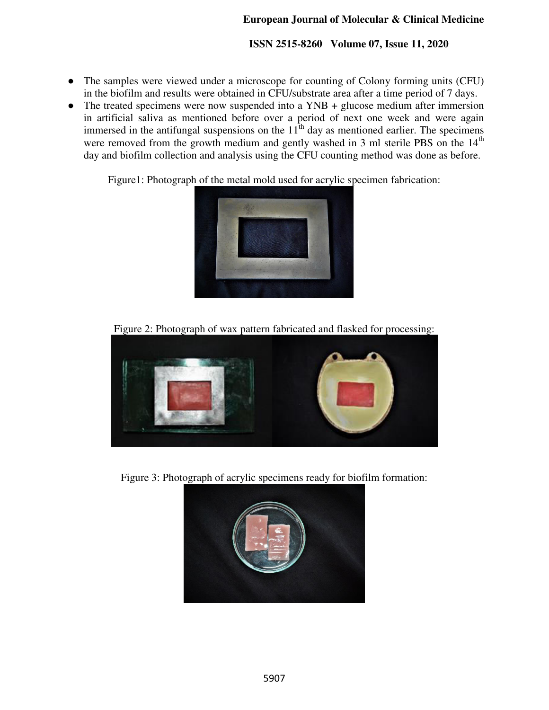- The samples were viewed under a microscope for counting of Colony forming units (CFU) in the biofilm and results were obtained in CFU/substrate area after a time period of 7 days.
- The treated specimens were now suspended into a YNB + glucose medium after immersion in artificial saliva as mentioned before over a period of next one week and were again immersed in the antifungal suspensions on the  $11<sup>th</sup>$  day as mentioned earlier. The specimens were removed from the growth medium and gently washed in 3 ml sterile PBS on the 14<sup>th</sup> day and biofilm collection and analysis using the CFU counting method was done as before.

Figure1: Photograph of the metal mold used for acrylic specimen fabrication:



Figure 2: Photograph of wax pattern fabricated and flasked for processing:



Figure 3: Photograph of acrylic specimens ready for biofilm formation:

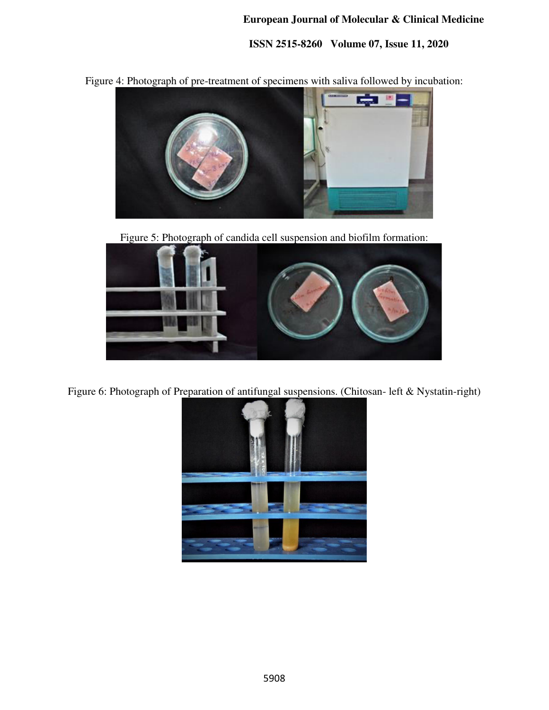**ISSN 2515-8260 Volume 07, Issue 11, 2020** 

Figure 4: Photograph of pre-treatment of specimens with saliva followed by incubation:



Figure 5: Photograph of candida cell suspension and biofilm formation:



Figure 6: Photograph of Preparation of antifungal suspensions. (Chitosan- left & Nystatin-right)

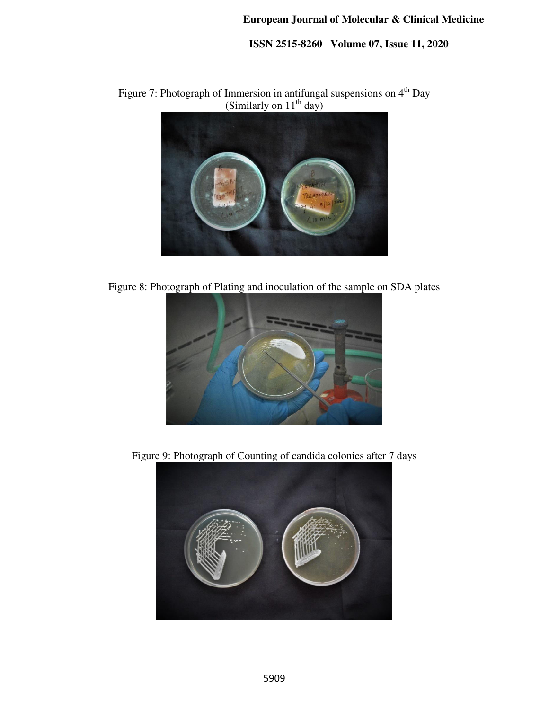**ISSN 2515-8260 Volume 07, Issue 11, 2020** 

Figure 7: Photograph of Immersion in antifungal suspensions on  $4<sup>th</sup>$  Day (Similarly on  $11<sup>th</sup>$  day)



Figure 8: Photograph of Plating and inoculation of the sample on SDA plates



Figure 9: Photograph of Counting of candida colonies after 7 days

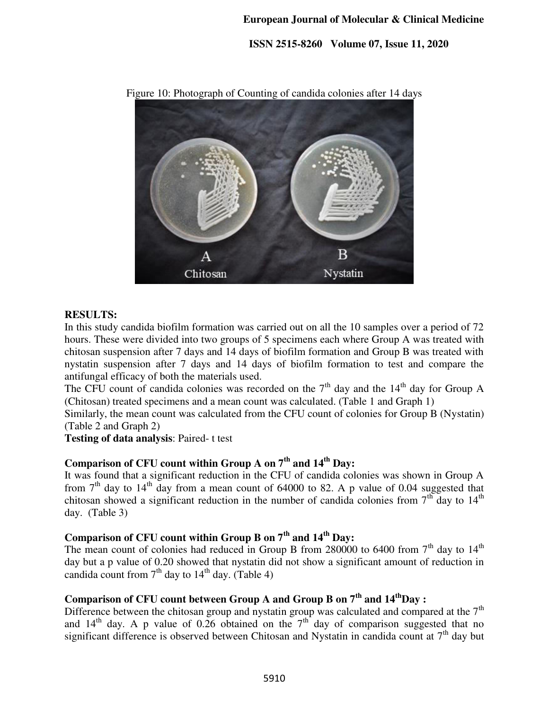**ISSN 2515-8260 Volume 07, Issue 11, 2020** 



Figure 10: Photograph of Counting of candida colonies after 14 days

#### **RESULTS:**

In this study candida biofilm formation was carried out on all the 10 samples over a period of 72 hours. These were divided into two groups of 5 specimens each where Group A was treated with chitosan suspension after 7 days and 14 days of biofilm formation and Group B was treated with nystatin suspension after 7 days and 14 days of biofilm formation to test and compare the antifungal efficacy of both the materials used.

The CFU count of candida colonies was recorded on the  $7<sup>th</sup>$  day and the 14<sup>th</sup> day for Group A (Chitosan) treated specimens and a mean count was calculated. (Table 1 and Graph 1)

Similarly, the mean count was calculated from the CFU count of colonies for Group B (Nystatin) (Table 2 and Graph 2)

**Testing of data analysis**: Paired- t test

# **Comparison of CFU count within Group A on 7th and 14th Day:**

It was found that a significant reduction in the CFU of candida colonies was shown in Group A from  $7<sup>th</sup>$  day to 14<sup>th</sup> day from a mean count of 64000 to 82. A p value of 0.04 suggested that chitosan showed a significant reduction in the number of candida colonies from  $7<sup>th</sup>$  day to  $14<sup>th</sup>$ day. (Table 3)

# **Comparison of CFU count within Group B on 7th and 14th Day:**

The mean count of colonies had reduced in Group B from 280000 to 6400 from  $7<sup>th</sup>$  day to  $14<sup>th</sup>$ day but a p value of 0.20 showed that nystatin did not show a significant amount of reduction in candida count from  $7<sup>th</sup>$  day to  $14<sup>th</sup>$  day. (Table 4)

# **Comparison of CFU count between Group A and Group B on 7th and 14thDay :**

Difference between the chitosan group and nystatin group was calculated and compared at the  $7<sup>th</sup>$ and  $14<sup>th</sup>$  day. A p value of 0.26 obtained on the  $7<sup>th</sup>$  day of comparison suggested that no significant difference is observed between Chitosan and Nystatin in candida count at  $7<sup>th</sup>$  day but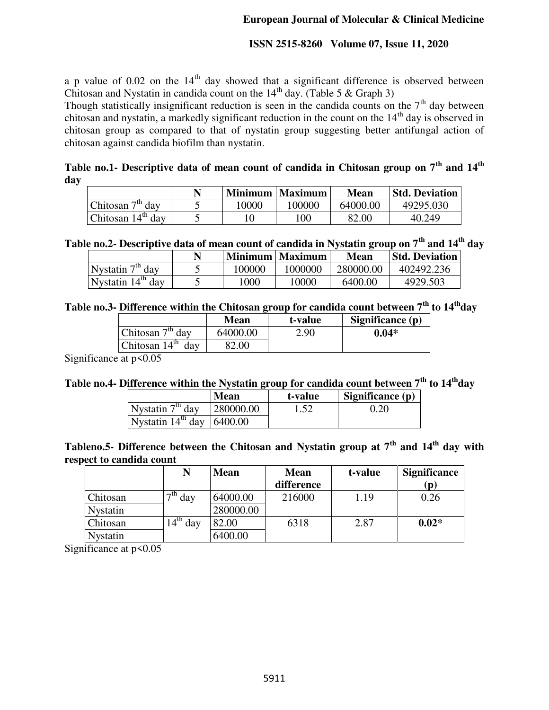a p value of  $0.02$  on the  $14<sup>th</sup>$  day showed that a significant difference is observed between Chitosan and Nystatin in candida count on the  $14<sup>th</sup>$  day. (Table 5 & Graph 3)

Though statistically insignificant reduction is seen in the candida counts on the  $7<sup>th</sup>$  day between chitosan and nystatin, a markedly significant reduction in the count on the  $14<sup>th</sup>$  day is observed in chitosan group as compared to that of nystatin group suggesting better antifungal action of chitosan against candida biofilm than nystatin.

**Table no.1- Descriptive data of mean count of candida in Chitosan group on 7th and 14th day** 

|                     |       | Minimum   Maximum ' | <b>Mean</b> | <b>Std. Deviation</b> |
|---------------------|-------|---------------------|-------------|-----------------------|
| Chitosan $7th$ day  | 10000 | 100000              | 64000.00    | 49295.030             |
| Chitosan $14th$ day |       | 100                 | 82.00       | 40.249                |

**Table no.2- Descriptive data of mean count of candida in Nystatin group on 7th and 14th day** 

|                     | N | <b>Minimum</b> | Maximum | Mean      | <b>Std. Deviation</b> |
|---------------------|---|----------------|---------|-----------|-----------------------|
| Nystatin $7th$ day  |   | 100000         | 1000000 | 280000.00 | 402492.236            |
| Nystatin $14th$ day |   | 1000           | 10000   | 6400.00   | 4929.503              |

### **Table no.3- Difference within the Chitosan group for candida count between 7th to 14thday**

|                        | <b>Mean</b> | t-value | Significance (p) |
|------------------------|-------------|---------|------------------|
| Chitosan $7th$ day     | 64000.00    | 2.90    | $0.04*$          |
| Chitosan $14th$<br>dav | 82.00       |         |                  |

Significance at  $p < 0.05$ 

## **Table no.4- Difference within the Nystatin group for candida count between 7th to 14thday**

|                                               | <b>Mean</b> | t-value | Significance $(p)$ |
|-----------------------------------------------|-------------|---------|--------------------|
| Nystatin $7th$ day                            | 280000.00   |         | 0.20               |
| Nystatin $14^{\text{th}}$ day $\vert$ 6400.00 |             |         |                    |

**Tableno.5- Difference between the Chitosan and Nystatin group at 7th and 14th day with respect to candida count** 

|                 | N                           | <b>Mean</b> | <b>Mean</b> | t-value | <b>Significance</b> |
|-----------------|-----------------------------|-------------|-------------|---------|---------------------|
|                 |                             |             | difference  |         | $({\bf p})$         |
| Chitosan        | $\overline{\mathrm{d}}$ day | 64000.00    | 216000      | 1.19    | 0.26                |
| <b>Nystatin</b> |                             | 280000.00   |             |         |                     |
| Chitosan        | 4 <sup>th</sup><br>day      | 82.00       | 6318        | 2.87    | $0.02*$             |
| <b>Nystatin</b> |                             | 6400.00     |             |         |                     |

Significance at  $p<0.05$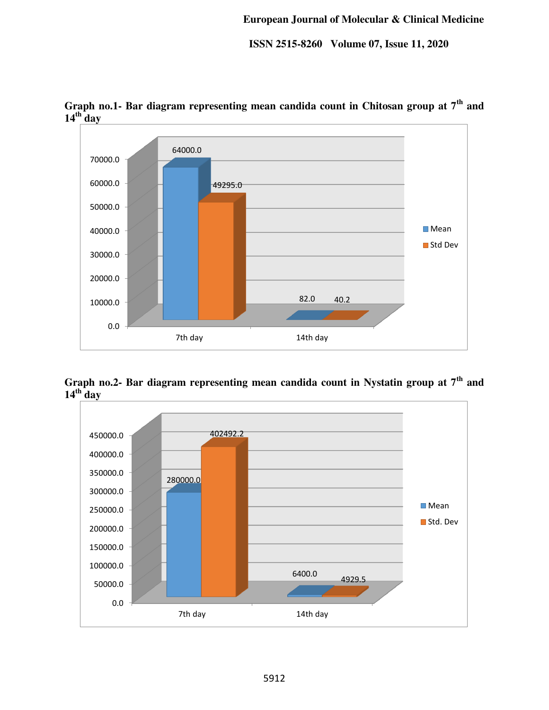

**Graph no.1- Bar diagram representing mean candida count in Chitosan group at 7th and**   $14$ <sup>th</sup>**day** 

**Graph no.2- Bar diagram representing mean candida count in Nystatin group at 7th and**   $14$ <sup>th</sup> day

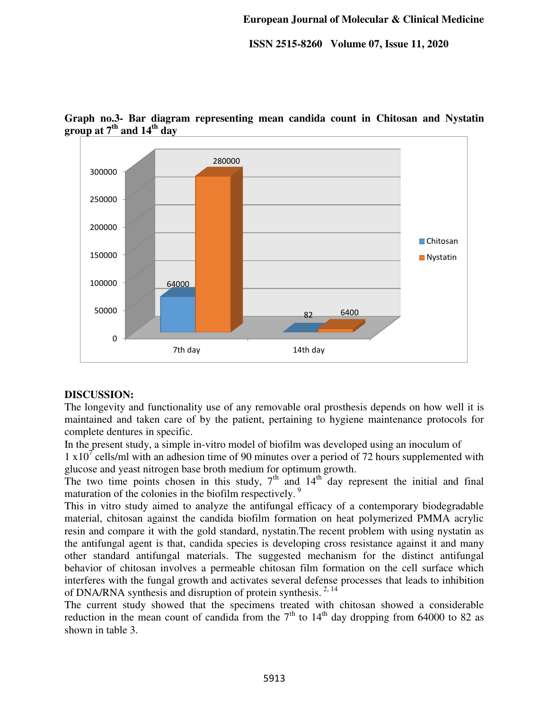

**Graph no.3- Bar diagram representing mean candida count in Chitosan and Nystatin group at 7th and 14th day** 

#### **DISCUSSION:**

The longevity and functionality use of any removable oral prosthesis depends on how well it is maintained and taken care of by the patient, pertaining to hygiene maintenance protocols for complete dentures in specific.

In the present study, a simple in-vitro model of biofilm was developed using an inoculum of

1  $x10<sup>7</sup>$  cells/ml with an adhesion time of 90 minutes over a period of 72 hours supplemented with glucose and yeast nitrogen base broth medium for optimum growth.

The two time points chosen in this study,  $7<sup>th</sup>$  and  $14<sup>th</sup>$  day represent the initial and final maturation of the colonies in the biofilm respectively.<sup>9</sup>

This in vitro study aimed to analyze the antifungal efficacy of a contemporary biodegradable material, chitosan against the candida biofilm formation on heat polymerized PMMA acrylic resin and compare it with the gold standard, nystatin.The recent problem with using nystatin as the antifungal agent is that, candida species is developing cross resistance against it and many other standard antifungal materials. The suggested mechanism for the distinct antifungal behavior of chitosan involves a permeable chitosan film formation on the cell surface which interferes with the fungal growth and activates several defense processes that leads to inhibition of DNA/RNA synthesis and disruption of protein synthesis.  $^{2,14}$ 

The current study showed that the specimens treated with chitosan showed a considerable reduction in the mean count of candida from the  $7<sup>th</sup>$  to  $14<sup>th</sup>$  day dropping from 64000 to 82 as shown in table 3.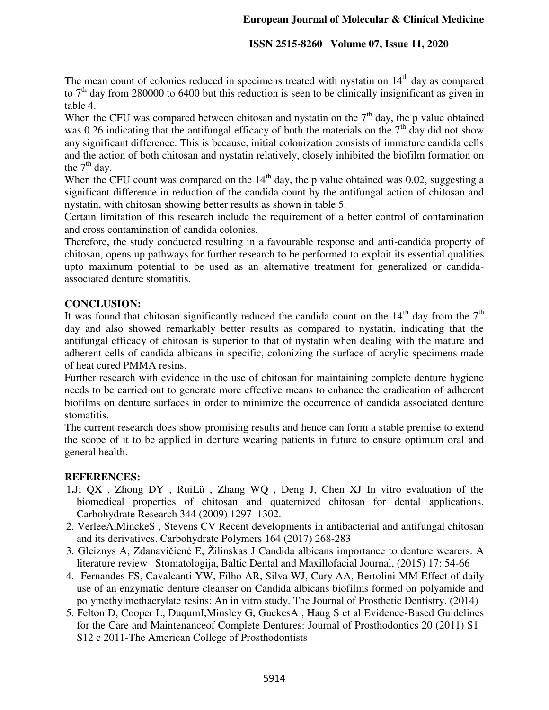#### **ISSN 2515-8260 Volume 07, Issue 11, 2020**

The mean count of colonies reduced in specimens treated with nystatin on  $14<sup>th</sup>$  day as compared to  $7<sup>th</sup>$  day from 280000 to 6400 but this reduction is seen to be clinically insignificant as given in table 4.

When the CFU was compared between chitosan and nystatin on the  $7<sup>th</sup>$  day, the p value obtained was 0.26 indicating that the antifungal efficacy of both the materials on the  $7<sup>th</sup>$  day did not show any significant difference. This is because, initial colonization consists of immature candida cells and the action of both chitosan and nystatin relatively, closely inhibited the biofilm formation on the  $7<sup>th</sup>$  day.

When the CFU count was compared on the  $14<sup>th</sup>$  day, the p value obtained was 0.02, suggesting a significant difference in reduction of the candida count by the antifungal action of chitosan and nystatin, with chitosan showing better results as shown in table 5.

Certain limitation of this research include the requirement of a better control of contamination and cross contamination of candida colonies.

Therefore, the study conducted resulting in a favourable response and anti-candida property of chitosan, opens up pathways for further research to be performed to exploit its essential qualities upto maximum potential to be used as an alternative treatment for generalized or candidaassociated denture stomatitis.

#### **CONCLUSION:**

It was found that chitosan significantly reduced the candida count on the  $14<sup>th</sup>$  day from the  $7<sup>th</sup>$ day and also showed remarkably better results as compared to nystatin, indicating that the antifungal efficacy of chitosan is superior to that of nystatin when dealing with the mature and adherent cells of candida albicans in specific, colonizing the surface of acrylic specimens made of heat cured PMMA resins.

Further research with evidence in the use of chitosan for maintaining complete denture hygiene needs to be carried out to generate more effective means to enhance the eradication of adherent biofilms on denture surfaces in order to minimize the occurrence of candida associated denture stomatitis.

The current research does show promising results and hence can form a stable premise to extend the scope of it to be applied in denture wearing patients in future to ensure optimum oral and general health.

#### **REFERENCES:**

- 1**.**Ji QX , Zhong DY , RuiLü , Zhang WQ , Deng J, Chen XJ In vitro evaluation of the biomedical properties of chitosan and quaternized chitosan for dental applications. Carbohydrate Research 344 (2009) 1297–1302.
- 2. VerleeA,MinckeS , Stevens CV Recent developments in antibacterial and antifungal chitosan and its derivatives. Carbohydrate Polymers 164 (2017) 268-283
- 3. Gleiznys A, Zdanavičienė E, Žilinskas J Candida albicans importance to denture wearers. A literature review Stomatologija, Baltic Dental and Maxillofacial Journal, (2015) 17: 54-66
- 4. Fernandes FS, Cavalcanti YW, Filho AR, Silva WJ, Cury AA, Bertolini MM Effect of daily use of an enzymatic denture cleanser on Candida albicans biofilms formed on polyamide and polymethylmethacrylate resins: An in vitro study. The Journal of Prosthetic Dentistry. (2014)
- 5. Felton D, Cooper L, DuqumI,Minsley G, GuckesA , Haug S et al Evidence-Based Guidelines for the Care and Maintenanceof Complete Dentures: Journal of Prosthodontics 20 (2011) S1– S12 c 2011-The American College of Prosthodontists